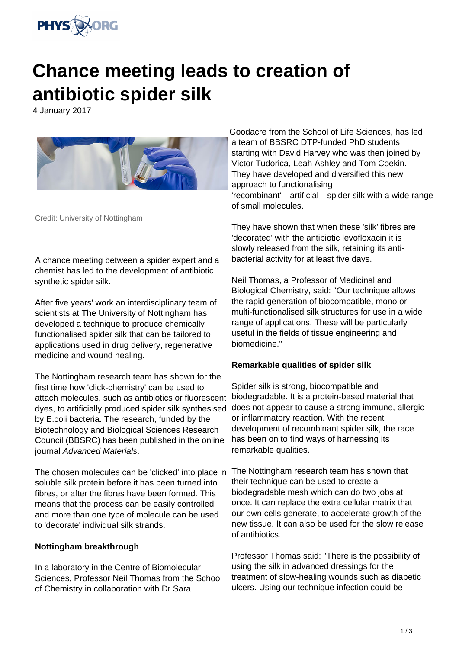

# **Chance meeting leads to creation of antibiotic spider silk**

4 January 2017



Credit: University of Nottingham

A chance meeting between a spider expert and a chemist has led to the development of antibiotic synthetic spider silk.

After five years' work an interdisciplinary team of scientists at The University of Nottingham has developed a technique to produce chemically functionalised spider silk that can be tailored to applications used in drug delivery, regenerative medicine and wound healing.

The Nottingham research team has shown for the first time how 'click-chemistry' can be used to attach molecules, such as antibiotics or fluorescent dyes, to artificially produced spider silk synthesised by E.coli bacteria. The research, funded by the Biotechnology and Biological Sciences Research Council (BBSRC) has been published in the online journal Advanced Materials.

The chosen molecules can be 'clicked' into place in soluble silk protein before it has been turned into fibres, or after the fibres have been formed. This means that the process can be easily controlled and more than one type of molecule can be used to 'decorate' individual silk strands.

#### **Nottingham breakthrough**

In a laboratory in the Centre of Biomolecular Sciences, Professor Neil Thomas from the School of Chemistry in collaboration with Dr Sara

Goodacre from the School of Life Sciences, has led a team of BBSRC DTP-funded PhD students starting with David Harvey who was then joined by Victor Tudorica, Leah Ashley and Tom Coekin. They have developed and diversified this new approach to functionalising 'recombinant'—artificial—spider silk with a wide range of small molecules.

They have shown that when these 'silk' fibres are 'decorated' with the antibiotic levofloxacin it is slowly released from the silk, retaining its antibacterial activity for at least five days.

Neil Thomas, a Professor of Medicinal and Biological Chemistry, said: "Our technique allows the rapid generation of biocompatible, mono or multi-functionalised silk structures for use in a wide range of applications. These will be particularly useful in the fields of tissue engineering and biomedicine."

#### **Remarkable qualities of spider silk**

Spider silk is strong, biocompatible and biodegradable. It is a protein-based material that does not appear to cause a strong immune, allergic or inflammatory reaction. With the recent development of recombinant spider silk, the race has been on to find ways of harnessing its remarkable qualities.

The Nottingham research team has shown that their technique can be used to create a biodegradable mesh which can do two jobs at once. It can replace the extra cellular matrix that our own cells generate, to accelerate growth of the new tissue. It can also be used for the slow release of antibiotics.

Professor Thomas said: "There is the possibility of using the silk in advanced dressings for the treatment of slow-healing wounds such as diabetic ulcers. Using our technique infection could be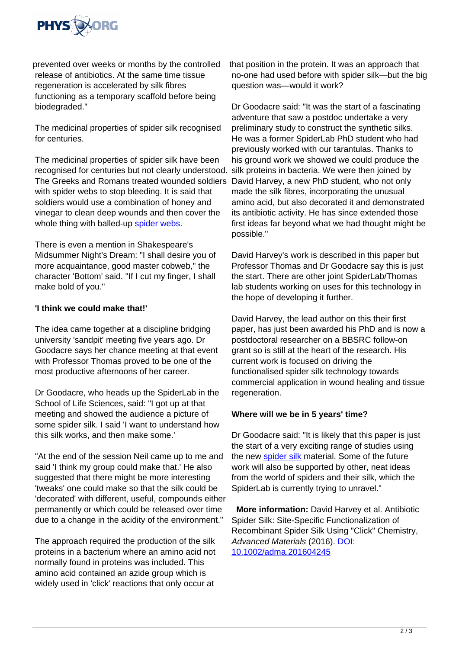

prevented over weeks or months by the controlled release of antibiotics. At the same time tissue regeneration is accelerated by silk fibres functioning as a temporary scaffold before being biodegraded."

The medicinal properties of spider silk recognised for centuries.

The medicinal properties of spider silk have been recognised for centuries but not clearly understood. The Greeks and Romans treated wounded soldiers with spider webs to stop bleeding. It is said that soldiers would use a combination of honey and vinegar to clean deep wounds and then cover the whole thing with balled-up [spider webs.](https://phys.org/tags/spider+webs/)

There is even a mention in Shakespeare's Midsummer Night's Dream: "I shall desire you of more acquaintance, good master cobweb," the character 'Bottom' said. "If I cut my finger, I shall make bold of you."

### **'I think we could make that!'**

The idea came together at a discipline bridging university 'sandpit' meeting five years ago. Dr Goodacre says her chance meeting at that event with Professor Thomas proved to be one of the most productive afternoons of her career.

Dr Goodacre, who heads up the SpiderLab in the School of Life Sciences, said: "I got up at that meeting and showed the audience a picture of some spider silk. I said 'I want to understand how this silk works, and then make some.'

"At the end of the session Neil came up to me and said 'I think my group could make that.' He also suggested that there might be more interesting 'tweaks' one could make so that the silk could be 'decorated' with different, useful, compounds either permanently or which could be released over time due to a change in the acidity of the environment."

The approach required the production of the silk proteins in a bacterium where an amino acid not normally found in proteins was included. This amino acid contained an azide group which is widely used in 'click' reactions that only occur at

that position in the protein. It was an approach that no-one had used before with spider silk—but the big question was—would it work?

Dr Goodacre said: "It was the start of a fascinating adventure that saw a postdoc undertake a very preliminary study to construct the synthetic silks. He was a former SpiderLab PhD student who had previously worked with our tarantulas. Thanks to his ground work we showed we could produce the silk proteins in bacteria. We were then joined by David Harvey, a new PhD student, who not only made the silk fibres, incorporating the unusual amino acid, but also decorated it and demonstrated its antibiotic activity. He has since extended those first ideas far beyond what we had thought might be possible."

David Harvey's work is described in this paper but Professor Thomas and Dr Goodacre say this is just the start. There are other joint SpiderLab/Thomas lab students working on uses for this technology in the hope of developing it further.

David Harvey, the lead author on this their first paper, has just been awarded his PhD and is now a postdoctoral researcher on a BBSRC follow-on grant so is still at the heart of the research. His current work is focused on driving the functionalised spider silk technology towards commercial application in wound healing and tissue regeneration.

## **Where will we be in 5 years' time?**

Dr Goodacre said: "It is likely that this paper is just the start of a very exciting range of studies using the new [spider silk](https://phys.org/tags/spider+silk/) material. Some of the future work will also be supported by other, neat ideas from the world of spiders and their silk, which the SpiderLab is currently trying to unravel."

 **More information:** David Harvey et al. Antibiotic Spider Silk: Site-Specific Functionalization of Recombinant Spider Silk Using "Click" Chemistry, Advanced Materials (2016). [DOI:](http://dx.doi.org/10.1002/adma.201604245) [10.1002/adma.201604245](http://dx.doi.org/10.1002/adma.201604245)